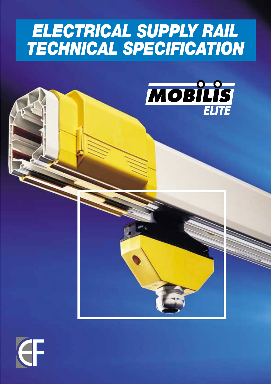# *ELECTRICAL SUPPLY RAIL TECHNICAL SPECIFICATION*





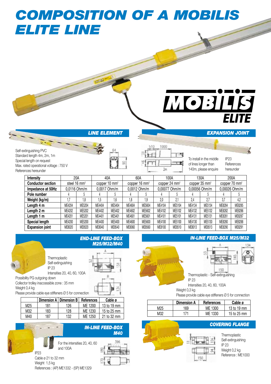# *COMPOSITION OF A MOBILIS ELITE LINE*

# МОЗІІВ **ELITE**

To install in the middle of lines longer than 140m, please enquire

*LINE ELEMENT*

Self-extinguishing PVC Standard length 4m, 2m, 1m Special length on request Max. rated operational voltage : 750 V References hereunder

|        |        |                                                 |        |                                                  |        |                                                  |        |                                                    |        |                                                    | 200A                      |
|--------|--------|-------------------------------------------------|--------|--------------------------------------------------|--------|--------------------------------------------------|--------|----------------------------------------------------|--------|----------------------------------------------------|---------------------------|
|        |        |                                                 |        |                                                  |        |                                                  |        |                                                    |        |                                                    | copper 70 mm <sup>2</sup> |
|        |        |                                                 |        |                                                  |        |                                                  |        |                                                    |        |                                                    | 0,00026 Ohm/m             |
|        |        |                                                 |        |                                                  |        |                                                  |        |                                                    |        |                                                    |                           |
|        | 1.8    | .5                                              | 1.6    | 1.8                                              | 1.9    | 2.0                                              | 2.1    | 2.4                                                | 2.7    | 3.7                                                | 4,2                       |
| ME4204 | ME5204 | ME4404                                          | ME5404 | ME4604                                           | ME5604 | ME4104                                           | ME5104 | ME4134                                             | ME5134 | ME8284                                             | ME8285                    |
| ME4202 | ME5202 | ME4402                                          | ME5402 | ME4602                                           | ME5602 | ME4102                                           | ME5102 | ME4132                                             | ME5132 | ME8282                                             | ME8286                    |
| ME4201 | ME5201 | ME4401                                          | ME5401 | ME4601                                           | ME5601 | ME4101                                           | ME5101 | ME4131                                             | ME5131 | ME8281                                             | ME8287                    |
| ME4200 | ME5200 | ME4400                                          | ME5400 | ME4600                                           | ME5600 | ME4100                                           | ME5100 | ME4130                                             | ME5130 | ME8280                                             | ME8288                    |
| ME8020 | ME8520 | ME8040                                          | ME8540 | ME8060                                           | ME8560 | ME8100                                           | ME8510 | ME8013                                             | ME8513 | ME8290                                             | ME8291                    |
|        |        | 20A<br>steel 16 mm <sup>2</sup><br>0,0116 Ohm/m |        | 40A<br>copper 10 mm <sup>2</sup><br>0,0017 Ohm/m |        | 60A<br>copper 16 mm <sup>2</sup><br>0,0012 Ohm/m |        | 100A<br>copper 24 mm <sup>2</sup><br>0,00077 Ohm/m |        | 130A<br>copper 35 mm <sup>2</sup><br>0,00056 Ohm/m |                           |



Thermoplastic Self-extinguishing

*END-LINE FEED-BOX M25/M32/M40*



Collector trolley inaccessible zone : 35 mm Weight 0,4 kg

Please provide cable eye stiffeners Ø 5 for connection

|                 |     | Dimension A   Dimension B | References | Cable ø     |
|-----------------|-----|---------------------------|------------|-------------|
| M <sub>25</sub> | 181 | 126                       | ME 1200    | 13 to 19 mm |
| M32             | 183 | 128                       | ME 1230    | 15 to 25 mm |
| M40             | 187 | 132                       | ME 1250    | 21 to 32 mm |







IP23 References hereunder

*EXPANSION JOINT*

Thermoplastic - Self-extinguishing IP 23

Intensities 20, 40, 60, 100A Weight 0,3 kg

Please provide cable eye stiffeners Ø 5 for connection

|     | <b>Dimension A</b> | <b>References</b> | Cable ø     |
|-----|--------------------|-------------------|-------------|
| M25 | 169                | ME 1300           | 13 to 19 mm |
| M32 | 171                | ME 1330           | 15 to 25 mm |

# *COVERING FLANGE*



Self-extinguishing IP 23 Weight 0,2 kg Reference : ME1000







1000

Эπ

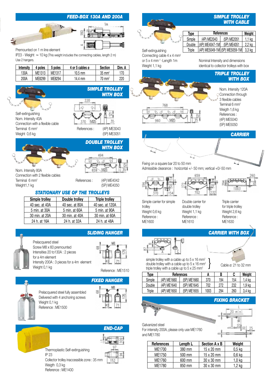### *FEED-BOX 130A AND 200A*



Premounted on 1 m line element

IP23 - Weight  $\;\simeq$  10 kg (This weight includes the connecting cables, length 2 m) Use 2 hangers.

| <b>Intensity</b> | poles  | 5 poles | 4 or 5 cables ø | <b>Section</b>    | Dim. A |
|------------------|--------|---------|-----------------|-------------------|--------|
| 130A             | ME1313 | ME1317  | 10.5 mm         | $35 \text{ mm}^2$ | 170    |
| 200A             | ME8299 | ME8294  | 14.4 mm         | $70 \text{ mm}^2$ | 220    |





(5P) ME3051

*WITH BOX*

*DOUBLE TROLLEY* 

*SIMPLE TROLLEY*

*WITH BOX*



Connection with 2 flexible cables Terminal 6 mm<sup>2</sup> Weight1,1 kg



494 70

References : (4P) ME4042 (5P) ME4050

### *STATIONARY USE OF THE TROLLEYS*

| Simple trolley | Double trolley | <b>Triple trolley</b> |
|----------------|----------------|-----------------------|
| 40 sec. at 40A | 40 sec. at 80A | 40 sec. at 120A       |
| 5 min. at 30A  | 5 min. at 60A  | 5 min. at 90A         |
| 30 min. at 20A | 30 min. at 40A | 30 min. at 60A        |
| 24 h. at 16A   | 24 h. at 32A   | 24 h. at 48A          |



*SLIDING HANGER*



Reference: ME1510



Prelacquered steel fully assembled Delivered with 4 anchoring screws Weight 0,1 kg Reference : ME1500





# **Type References Weight** Simple (4P) ME2043 (5P) ME2051 1,1 kg Double  $|(4P)$  ME4047-1M  $(5P)$  ME4051  $|2,2$  kg

*SIMPLE TROLLEY WITH CABLE*

Self-extinguishing Connecting cable 4 x 4 mm<sup>2</sup> or 5 x 4 mm <sup>2</sup> - Length 1 m Weight 1,1 kg

Nominal Intensity and dimensions identical to collector trolleys with box

Triple  $|(4P)$  ME5049-1M (5P) ME5059-1M 3,3 kg





Nom. Intensity 120A Connection through 3 flexible cables Terminal 6 mm<sup>2</sup> Weigth 1.6 kg References : (4P) ME5040 (5P) ME5050



Fixing on a square bar 20 to 50 mm

trolley

Reference : ME1600

702

656



Simple carrier for simple Weight 0,6 kg

Double carrier for double trolley Weight 1,1 kg Reference : ME1610

Triple carrier for triple trolley Weight 2,6 kg Reference : ME1630

## *CARRIER WITH BOX*



Cable ø: 21 to 32 mm

simple trolley with a cable up to 5 x 16 mm<sup>2</sup> double trolley with a cable up to  $5 \times 16$  mm<sup>2</sup> triple trolley with a cable up to  $5 \times 25$  mm<sup>2</sup>

| Type   | References  |             | В    | C   | Weight |        |
|--------|-------------|-------------|------|-----|--------|--------|
| Simple | (4P) ME1660 | (5P) ME1660 | 370  | 194 | 154    | ,4 ka  |
| Double | (4P) ME1640 | (5P) ME1645 | 702  | 272 | 232    | 1.9 ka |
| Triple | (4P) ME1650 | (5P) ME1655 | 1003 | 294 | 260    | 3.4 ka |

### *FIXING BRACKET*

# min ĝ



| References | Length L | Section A x B     | <b>Weight</b> |
|------------|----------|-------------------|---------------|
| ME1700     | 380 mm   | 15 x 20 mm        | $0,5$ kg      |
| ME1750     | 500 mm   | $15 \times 20$ mm | $0,6$ kg      |
| ME1760     | 600 mm   | 30 x 30 mm        | 1,0 kg        |
| ME1780     | 850 mm   | 30 x 30 mm        | 1,2 kg        |

M26 **GRC** 

768